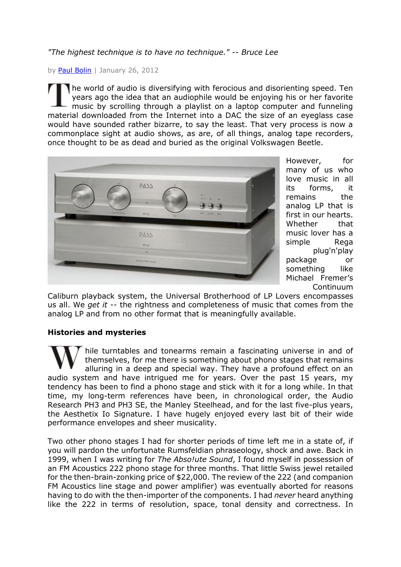### *"The highest technique is to have no technique." -- Bruce Lee*

by [Paul Bolin](mailto:paul@theaudiobeat.com) | January 26, 2012

he world of audio is diversifying with ferocious and disorienting speed. Ten years ago the idea that an audiophile would be enjoying his or her favorite music by scrolling through a playlist on a laptop computer and funneling material downloaded from the Internet into a DAC the size of an eyeglass case would have sounded rather bizarre, to say the least. That very process is now a commonplace sight at audio shows, as are, of all things, analog tape recorders, once thought to be as dead and buried as the original Volkswagen Beetle.



However, for many of us who love music in all its forms, it remains the analog LP that is first in our hearts. Whether that music lover has a simple Rega plug'n'play package or something like Michael Fremer's Continuum

Caliburn playback system, the Universal Brotherhood of LP Lovers encompasses us all. We *get it* -- the rightness and completeness of music that comes from the analog LP and from no other format that is meaningfully available.

#### **Histories and mysteries**

hile turntables and tonearms remain a fascinating universe in and of themselves, for me there is something about phono stages that remains alluring in a deep and special way. They have a profound effect on an audio system and have intrigued me for years. Over the past 15 years, my tendency has been to find a phono stage and stick with it for a long while. In that time, my long-term references have been, in chronological order, the Audio Research PH3 and PH3 SE, the Manley Steelhead, and for the last five-plus years, the Aesthetix Io Signature. I have hugely enjoyed every last bit of their wide performance envelopes and sheer musicality.

Two other phono stages I had for shorter periods of time left me in a state of, if you will pardon the unfortunate Rumsfeldian phraseology, shock and awe. Back in 1999, when I was writing for *The Abso!ute Sound*, I found myself in possession of an FM Acoustics 222 phono stage for three months. That little Swiss jewel retailed for the then-brain-zonking price of \$22,000. The review of the 222 (and companion FM Acoustics line stage and power amplifier) was eventually aborted for reasons having to do with the then-importer of the components. I had *never* heard anything like the 222 in terms of resolution, space, tonal density and correctness. In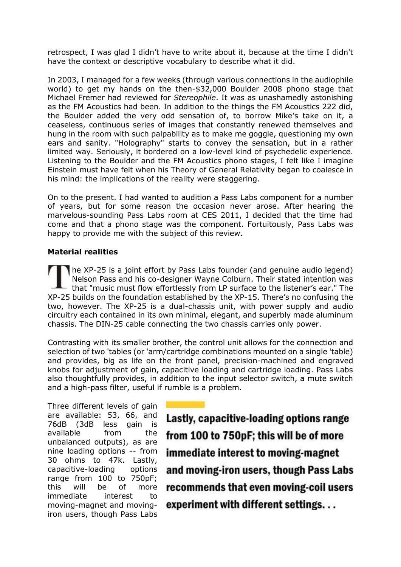retrospect, I was glad I didn't have to write about it, because at the time I didn't have the context or descriptive vocabulary to describe what it did.

In 2003, I managed for a few weeks (through various connections in the audiophile world) to get my hands on the then-\$32,000 Boulder 2008 phono stage that Michael Fremer had reviewed for *Stereophile*. It was as unashamedly astonishing as the FM Acoustics had been. In addition to the things the FM Acoustics 222 did, the Boulder added the very odd sensation of, to borrow Mike's take on it, a ceaseless, continuous series of images that constantly renewed themselves and hung in the room with such palpability as to make me goggle, questioning my own ears and sanity. "Holography" starts to convey the sensation, but in a rather limited way. Seriously, it bordered on a low-level kind of psychedelic experience. Listening to the Boulder and the FM Acoustics phono stages, I felt like I imagine Einstein must have felt when his Theory of General Relativity began to coalesce in his mind: the implications of the reality were staggering.

On to the present. I had wanted to audition a Pass Labs component for a number of years, but for some reason the occasion never arose. After hearing the marvelous-sounding Pass Labs room at CES 2011, I decided that the time had come and that a phono stage was the component. Fortuitously, Pass Labs was happy to provide me with the subject of this review.

### **Material realities**

he XP-25 is a joint effort by Pass Labs founder (and genuine audio legend) Nelson Pass and his co-designer Wayne Colburn. Their stated intention was that "music must flow effortlessly from LP surface to the listener's ear." The XP-25 builds on the foundation established by the XP-15. There's no confusing the two, however. The XP-25 is a dual-chassis unit, with power supply and audio circuitry each contained in its own minimal, elegant, and superbly made aluminum chassis. The DIN-25 cable connecting the two chassis carries only power.

Contrasting with its smaller brother, the control unit allows for the connection and selection of two 'tables (or 'arm/cartridge combinations mounted on a single 'table) and provides, big as life on the front panel, precision-machined and engraved knobs for adjustment of gain, capacitive loading and cartridge loading. Pass Labs also thoughtfully provides, in addition to the input selector switch, a mute switch and a high-pass filter, useful if rumble is a problem.

Three different levels of gain are available: 53, 66, and 76dB (3dB less gain is available from the unbalanced outputs), as are nine loading options -- from 30 ohms to 47k. Lastly, capacitive-loading options range from 100 to 750pF; this will be of more immediate interest to moving-magnet and movingiron users, though Pass Labs

Lastly, capacitive-loading options range from 100 to 750pF; this will be of more immediate interest to moving-magnet and moving-iron users, though Pass Labs recommends that even moving-coil users experiment with different settings...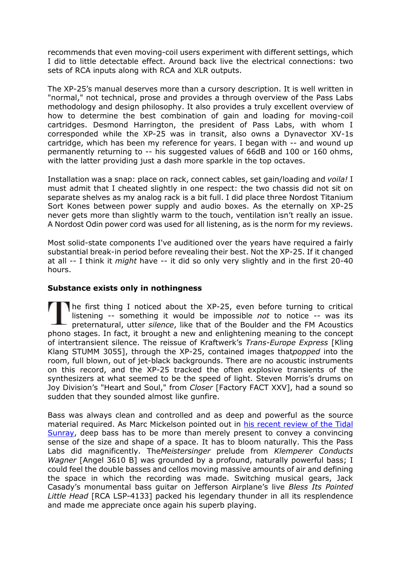recommends that even moving-coil users experiment with different settings, which I did to little detectable effect. Around back live the electrical connections: two sets of RCA inputs along with RCA and XLR outputs.

The XP-25's manual deserves more than a cursory description. It is well written in "normal," not technical, prose and provides a through overview of the Pass Labs methodology and design philosophy. It also provides a truly excellent overview of how to determine the best combination of gain and loading for moving-coil cartridges. Desmond Harrington, the president of Pass Labs, with whom I corresponded while the XP-25 was in transit, also owns a Dynavector XV-1s cartridge, which has been my reference for years. I began with -- and wound up permanently returning to -- his suggested values of 66dB and 100 or 160 ohms, with the latter providing just a dash more sparkle in the top octaves.

Installation was a snap: place on rack, connect cables, set gain/loading and *voila!* I must admit that I cheated slightly in one respect: the two chassis did not sit on separate shelves as my analog rack is a bit full. I did place three Nordost Titanium Sort Kones between power supply and audio boxes. As the eternally on XP-25 never gets more than slightly warm to the touch, ventilation isn't really an issue. A Nordost Odin power cord was used for all listening, as is the norm for my reviews.

Most solid-state components I've auditioned over the years have required a fairly substantial break-in period before revealing their best. Not the XP-25. If it changed at all -- I think it *might* have -- it did so only very slightly and in the first 20-40 hours.

### **Substance exists only in nothingness**

he first thing I noticed about the XP-25, even before turning to critical listening -- something it would be impossible *not* to notice -- was its preternatural, utter *silence*, like that of the Boulder and the FM Acoustics phono stages. In fact, it brought a new and enlightening meaning to the concept of intertransient silence. The reissue of Kraftwerk's *Trans-Europe Express* [Kling Klang STUMM 3055], through the XP-25, contained images that*popped* into the room, full blown, out of jet-black backgrounds. There are no acoustic instruments on this record, and the XP-25 tracked the often explosive transients of the synthesizers at what seemed to be the speed of light. Steven Morris's drums on Joy Division's "Heart and Soul," from *Closer* [Factory FACT XXV], had a sound so sudden that they sounded almost like gunfire.

Bass was always clean and controlled and as deep and powerful as the source material required. As Marc Mickelson pointed out in his [recent review of the Tidal](http://www.theaudiobeat.com/equipment/tidal_sunray.htm)  [Sunray,](http://www.theaudiobeat.com/equipment/tidal_sunray.htm) deep bass has to be more than merely present to convey a convincing sense of the size and shape of a space. It has to bloom naturally. This the Pass Labs did magnificently. The*Meistersinger* prelude from *Klemperer Conducts Wagner* [Angel 3610 B] was grounded by a profound, naturally powerful bass; I could feel the double basses and cellos moving massive amounts of air and defining the space in which the recording was made. Switching musical gears, Jack Casady's monumental bass guitar on Jefferson Airplane's live *Bless Its Pointed Little Head* [RCA LSP-4133] packed his legendary thunder in all its resplendence and made me appreciate once again his superb playing.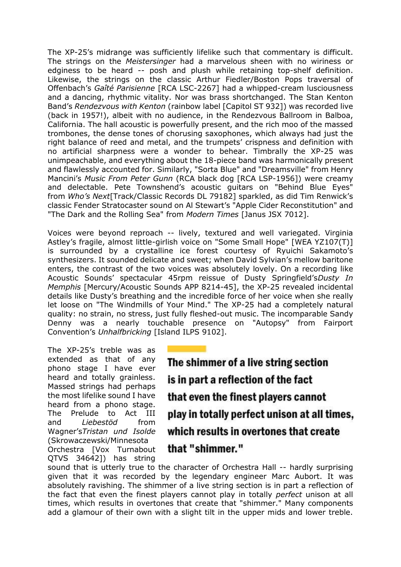The XP-25's midrange was sufficiently lifelike such that commentary is difficult. The strings on the *Meistersinger* had a marvelous sheen with no wiriness or edginess to be heard -- posh and plush while retaining top-shelf definition. Likewise, the strings on the classic Arthur Fiedler/Boston Pops traversal of Offenbach's *Gaîté Parisienne* [RCA LSC-2267] had a whipped-cream lusciousness and a dancing, rhythmic vitality. Nor was brass shortchanged. The Stan Kenton Band's *Rendezvous with Kenton* (rainbow label [Capitol ST 932]) was recorded live (back in 1957!), albeit with no audience, in the Rendezvous Ballroom in Balboa, California. The hall acoustic is powerfully present, and the rich moo of the massed trombones, the dense tones of chorusing saxophones, which always had just the right balance of reed and metal, and the trumpets' crispness and definition with no artificial sharpness were a wonder to behear. Timbrally the XP-25 was unimpeachable, and everything about the 18-piece band was harmonically present and flawlessly accounted for. Similarly, "Sorta Blue" and "Dreamsville" from Henry Mancini's *Music From Peter Gunn* (RCA black dog [RCA LSP-1956]) were creamy and delectable. Pete Townshend's acoustic guitars on "Behind Blue Eyes" from *Who's Next*[Track/Classic Records DL 79182] sparkled, as did Tim Renwick's classic Fender Stratocaster sound on Al Stewart's "Apple Cider Reconstitution" and "The Dark and the Rolling Sea" from *Modern Times* [Janus JSX 7012].

Voices were beyond reproach -- lively, textured and well variegated. Virginia Astley's fragile, almost little-girlish voice on "Some Small Hope" [WEA YZ107(T)] is surrounded by a crystalline ice forest courtesy of Ryuichi Sakamoto's synthesizers. It sounded delicate and sweet; when David Sylvian's mellow baritone enters, the contrast of the two voices was absolutely lovely. On a recording like Acoustic Sounds' spectacular 45rpm reissue of Dusty Springfield's*Dusty In Memphis* [Mercury/Acoustic Sounds APP 8214-45], the XP-25 revealed incidental details like Dusty's breathing and the incredible force of her voice when she really let loose on "The Windmills of Your Mind." The XP-25 had a completely natural quality: no strain, no stress, just fully fleshed-out music. The incomparable Sandy Denny was a nearly touchable presence on "Autopsy" from Fairport Convention's *Unhalfbricking* [Island ILPS 9102].

The XP-25's treble was as extended as that of any phono stage I have ever heard and totally grainless. Massed strings had perhaps the most lifelike sound I have heard from a phono stage. The Prelude to Act III and *Liebestöd* from Wagner's*Tristan und Isolde* (Skrowaczewski/Minnesota Orchestra [Vox Turnabout QTVS 34642]) has string

The shimmer of a live string section is in part a reflection of the fact that even the finest players cannot play in totally perfect unison at all times, which results in overtones that create that "shimmer."

sound that is utterly true to the character of Orchestra Hall -- hardly surprising given that it was recorded by the legendary engineer Marc Aubort. It was absolutely ravishing. The shimmer of a live string section is in part a reflection of the fact that even the finest players cannot play in totally *perfect* unison at all times, which results in overtones that create that "shimmer." Many components add a glamour of their own with a slight tilt in the upper mids and lower treble.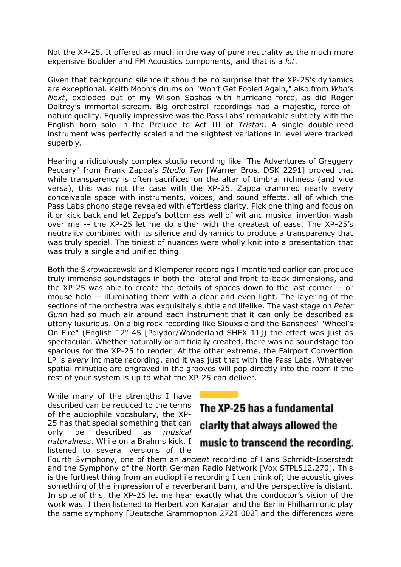Not the XP-25. It offered as much in the way of pure neutrality as the much more expensive Boulder and FM Acoustics components, and that is a *lot*.

Given that background silence it should be no surprise that the XP-25's dynamics are exceptional. Keith Moon's drums on "Won't Get Fooled Again," also from *Who's Next*, exploded out of my Wilson Sashas with hurricane force, as did Roger Daltrey's immortal scream. Big orchestral recordings had a majestic, force-ofnature quality. Equally impressive was the Pass Labs' remarkable subtlety with the English horn solo in the Prelude to Act III of *Tristan*. A single double-reed instrument was perfectly scaled and the slightest variations in level were tracked superbly.

Hearing a ridiculously complex studio recording like "The Adventures of Greggery Peccary" from Frank Zappa's *Studio Tan* [Warner Bros. DSK 2291] proved that while transparency is often sacrificed on the altar of timbral richness (and vice versa), this was not the case with the XP-25. Zappa crammed nearly every conceivable space with instruments, voices, and sound effects, all of which the Pass Labs phono stage revealed with effortless clarity. Pick one thing and focus on it or kick back and let Zappa's bottomless well of wit and musical invention wash over me -- the XP-25 let me do either with the greatest of ease. The XP-25's neutrality combined with its silence and dynamics to produce a transparency that was truly special. The tiniest of nuances were wholly knit into a presentation that was truly a single and unified thing.

Both the Skrowaczewski and Klemperer recordings I mentioned earlier can produce truly immense soundstages in both the lateral and front-to-back dimensions, and the XP-25 was able to create the details of spaces down to the last corner -- or mouse hole -- illuminating them with a clear and even light. The layering of the sections of the orchestra was exquisitely subtle and lifelike. The vast stage on *Peter Gunn* had so much air around each instrument that it can only be described as utterly luxurious. On a big rock recording like Siouxsie and the Banshees' "Wheel's On Fire" (English 12" 45 [Polydor/Wonderland SHEX 11]) the effect was just as spectacular. Whether naturally or artificially created, there was no soundstage too spacious for the XP-25 to render. At the other extreme, the Fairport Convention LP is a*very* intimate recording, and it was just that with the Pass Labs. Whatever spatial minutiae are engraved in the grooves will pop directly into the room if the rest of your system is up to what the XP-25 can deliver.

While many of the strengths I have described can be reduced to the terms of the audiophile vocabulary, the XP-25 has that special something that can only be described as *musical naturalness*. While on a Brahms kick, I listened to several versions of the

# The XP-25 has a fundamental

### clarity that always allowed the

## music to transcend the recording.

Fourth Symphony, one of them an *ancient* recording of Hans Schmidt-Isserstedt and the Symphony of the North German Radio Network [Vox STPL512.270]. This is the furthest thing from an audiophile recording I can think of; the acoustic gives something of the impression of a reverberant barn, and the perspective is distant. In spite of this, the XP-25 let me hear exactly what the conductor's vision of the work was. I then listened to Herbert von Karajan and the Berlin Philharmonic play the same symphony [Deutsche Grammophon 2721 002] and the differences were